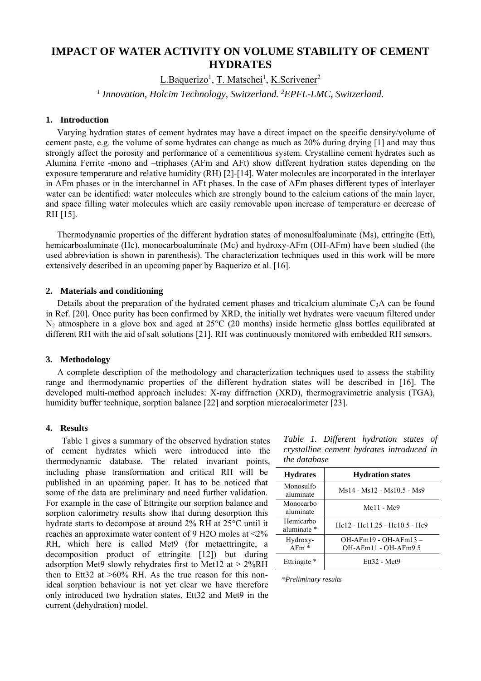# **IMPACT OF WATER ACTIVITY ON VOLUME STABILITY OF CEMENT HYDRATES**

L.Baquerizo<sup>1</sup>, T. Matschei<sup>1</sup>, K.Scrivener<sup>2</sup>

<sup>1</sup> Innovation, Holcim Technology, Switzerland. <sup>2</sup>EPFL-LMC, Switzerland.

# **1. Introduction**

Varying hydration states of cement hydrates may have a direct impact on the specific density/volume of cement paste, e.g. the volume of some hydrates can change as much as 20% during drying [1] and may thus strongly affect the porosity and performance of a cementitious system. Crystalline cement hydrates such as Alumina Ferrite -mono and –triphases (AFm and AFt) show different hydration states depending on the exposure temperature and relative humidity (RH) [2]-[14]. Water molecules are incorporated in the interlayer in AFm phases or in the interchannel in AFt phases. In the case of AFm phases different types of interlayer water can be identified: water molecules which are strongly bound to the calcium cations of the main layer, and space filling water molecules which are easily removable upon increase of temperature or decrease of RH [15].

Thermodynamic properties of the different hydration states of monosulfoaluminate (Ms), ettringite (Ett), hemicarboaluminate (Hc), monocarboaluminate (Mc) and hydroxy-AFm (OH-AFm) have been studied (the used abbreviation is shown in parenthesis). The characterization techniques used in this work will be more extensively described in an upcoming paper by Baquerizo et al. [16].

## **2. Materials and conditioning**

Details about the preparation of the hydrated cement phases and tricalcium aluminate  $C_3A$  can be found in Ref. [20]. Once purity has been confirmed by XRD, the initially wet hydrates were vacuum filtered under N2 atmosphere in a glove box and aged at 25°C (20 months) inside hermetic glass bottles equilibrated at different RH with the aid of salt solutions [21]. RH was continuously monitored with embedded RH sensors.

# **3. Methodology**

A complete description of the methodology and characterization techniques used to assess the stability range and thermodynamic properties of the different hydration states will be described in [16]. The developed multi-method approach includes: X-ray diffraction (XRD), thermogravimetric analysis (TGA), humidity buffer technique, sorption balance [22] and sorption microcalorimeter [23].

# **4. Results**

 Table 1 gives a summary of the observed hydration states of cement hydrates which were introduced into the thermodynamic database. The related invariant points, including phase transformation and critical RH will be published in an upcoming paper. It has to be noticed that some of the data are preliminary and need further validation. For example in the case of Ettringite our sorption balance and sorption calorimetry results show that during desorption this  $\overline{\phantom{a}}$ hydrate starts to decompose at around 2% RH at 25°C until it reaches an approximate water content of 9 H2O moles at <2% RH, which here is called Met9 (for metaettringite, a decomposition product of ettringite [12]) but during adsorption Met9 slowly rehydrates first to Met12 at  $> 2\%RH$ then to Ett32 at  $>60\%$  RH. As the true reason for this nonideal sorption behaviour is not yet clear we have therefore only introduced two hydration states, Ett32 and Met9 in the current (dehydration) model.

*Table 1. Different hydration states of crystalline cement hydrates introduced in the database*

| <b>Hydrates</b>          | <b>Hydration states</b>                                                       |
|--------------------------|-------------------------------------------------------------------------------|
| Monosulfo<br>aluminate   | Ms14 - Ms12 - Ms10.5 - Ms9                                                    |
| Monocarbo<br>aluminate   | $Mc11 - Mc9$                                                                  |
| Hemicarbo<br>aluminate * | He <sub>12</sub> - He <sub>11</sub> 25 - He <sub>10</sub> 5 - He <sub>9</sub> |
| Hydroxy-<br>$A$ Fm $*$   | $OH-AFm19 - OH-AFm13 -$<br>OH-AFm11 - OH-AFm9.5                               |
| Ettringite *             | Ett32 - Met9                                                                  |

*\*Preliminary results*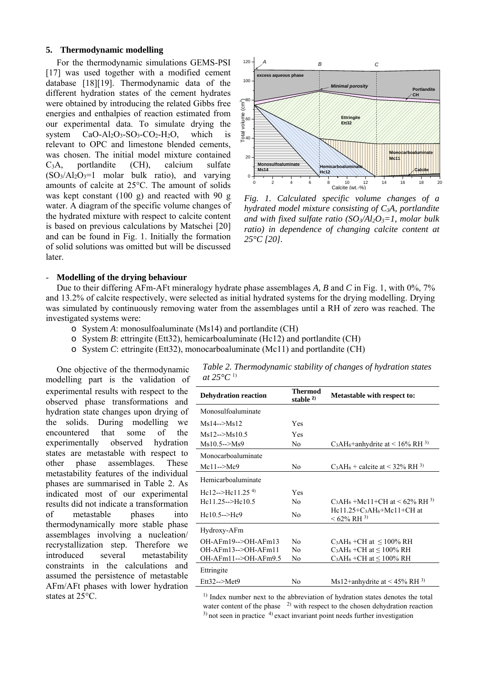## **5. Thermodynamic modelling**

For the thermodynamic simulations GEMS-PSI [17] was used together with a modified cement database [18][19]. Thermodynamic data of the different hydration states of the cement hydrates were obtained by introducing the related Gibbs free energies and enthalpies of reaction estimated from our experimental data. To simulate drying the system  $CaO-A1<sub>2</sub>O<sub>3</sub>-SO<sub>3</sub>-CO<sub>2</sub>-H<sub>2</sub>O$ , which is relevant to OPC and limestone blended cements, was chosen. The initial model mixture contained C3A, portlandite (CH), calcium sulfate  $(SO_3/Al_2O_3=1$  molar bulk ratio), and varying amounts of calcite at 25°C. The amount of solids was kept constant (100 g) and reacted with 90 g water. A diagram of the specific volume changes of the hydrated mixture with respect to calcite content is based on previous calculations by Matschei [20] and can be found in Fig. 1. Initially the formation of solid solutions was omitted but will be discussed later.



*Fig. 1. Calculated specific volume changes of a hydrated model mixture consisting of C3A, portlandite*  and with fixed sulfate ratio  $(SO_3/Al_2O_3=1$ , molar bulk *ratio) in dependence of changing calcite content at 25°C [20].* 

#### - **Modelling of the drying behaviour**

Due to their differing AFm-AFt mineralogy hydrate phase assemblages *A*, *B* and *C* in Fig. 1, with 0%, 7% and 13.2% of calcite respectively, were selected as initial hydrated systems for the drying modelling. Drying was simulated by continuously removing water from the assemblages until a RH of zero was reached. The investigated systems were:

- o System *A*: monosulfoaluminate (Ms14) and portlandite (CH)
- o System *B*: ettringite (Ett32), hemicarboaluminate (Hc12) and portlandite (CH)
- o System *C*: ettringite (Ett32), monocarboaluminate (Mc11) and portlandite (CH)

One objective of the thermodynamic modelling part is the validation of experimental results with respect to the observed phase transformations and hydration state changes upon drying of the solids. During modelling we encountered that some of the experimentally observed hydration states are metastable with respect to other phase assemblages. These metastability features of the individual phases are summarised in Table 2. As indicated most of our experimental results did not indicate a transformation of metastable phases into thermodynamically more stable phase assemblages involving a nucleation/ recrystallization step. Therefore we introduced several metastability constraints in the calculations and assumed the persistence of metastable AFm/AFt phases with lower hydration states at 25°C.

| Table 2. Thermodynamic stability of changes of hydration states |  |
|-----------------------------------------------------------------|--|
| at $25^{\circ}C^{1}$                                            |  |

| <b>Dehydration reaction</b>    | <b>Thermod</b><br>stable $2$ | Metastable with respect to:                                           |
|--------------------------------|------------------------------|-----------------------------------------------------------------------|
| Monosulfoaluminate             |                              |                                                                       |
| $Ms14->Ms12$                   | Yes                          |                                                                       |
| $Ms12\rightarrow Ms10.5$       | Yes                          |                                                                       |
| $Ms10.5--Ms9$                  | N <sub>0</sub>               | C <sub>3</sub> AH <sub>6</sub> +anhydrite at < 16% RH <sup>3)</sup>   |
| Monocarboaluminate             |                              |                                                                       |
| $Mc11->Mc9$                    | N <sub>0</sub>               | C <sub>3</sub> AH <sub>6</sub> + calcite at < $32\%$ RH <sup>3)</sup> |
| Hemicarboaluminate             |                              |                                                                       |
| Hc12-->Hc11.25 <sup>4)</sup>   | Yes                          |                                                                       |
| $He11.25 \rightarrow He10.5$   | N <sub>0</sub>               | $C_3AH_6+Mc11+CH$ at < 62% RH <sup>3)</sup>                           |
| $He10.5--He9$                  | N <sub>0</sub>               | $He11.25+C_3AH_6+Mc11+CH$ at<br>$< 62\%$ RH <sup>3)</sup>             |
| Hydroxy-AFm                    |                              |                                                                       |
| $OH-AFm19\rightarrow OH-AFm13$ | N <sub>0</sub>               | $C_3AH_6 + CH$ at $\leq 100\%$ RH                                     |
| $OH-AFm13\rightarrow OH-AFm11$ | N <sub>0</sub>               | $C_3AH_6+CH$ at $\leq 100\%$ RH                                       |
| OH-AFm11-->OH-AFm9.5           | N <sub>0</sub>               | $C_3AH_6 + CH$ at $\leq 100\%$ RH                                     |
| Ettringite                     |                              |                                                                       |
| Ett32-->Met9                   | No                           | Ms12+anhydrite at < 45% RH $^{3}$ )                                   |

<sup>1)</sup> Index number next to the abbreviation of hydration states denotes the total water content of the phase  $\frac{2}{3}$  with respect to the chosen dehydration reaction  $^{3)}$  not seen in practice  $^{4)}$  exact invariant point needs further investigation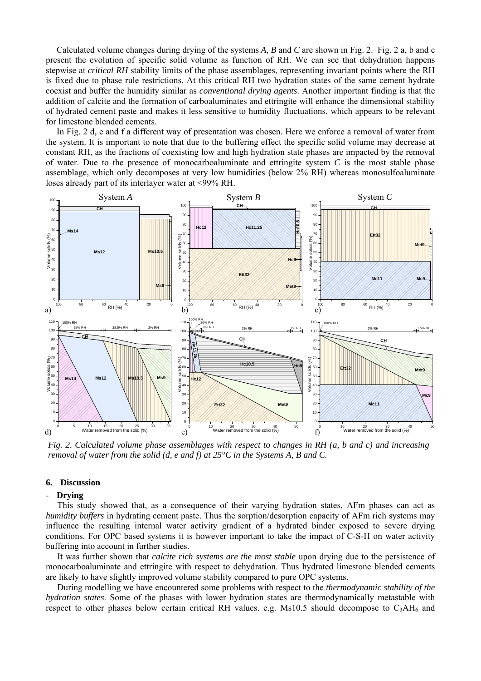Calculated volume changes during drying of the systems *A*, *B* and *C* are shown in Fig. 2. Fig. 2 a, b and c present the evolution of specific solid volume as function of RH. We can see that dehydration happens stepwise at *critical RH* stability limits of the phase assemblages, representing invariant points where the RH is fixed due to phase rule restrictions. At this critical RH two hydration states of the same cement hydrate coexist and buffer the humidity similar as *conventional drying agents*. Another important finding is that the addition of calcite and the formation of carboaluminates and ettringite will enhance the dimensional stability of hydrated cement paste and makes it less sensitive to humidity fluctuations, which appears to be relevant for limestone blended cements.

In Fig. 2 d, e and f a different way of presentation was chosen. Here we enforce a removal of water from the system. It is important to note that due to the buffering effect the specific solid volume may decrease at constant RH, as the fractions of coexisting low and high hydration state phases are impacted by the removal of water. Due to the presence of monocarboaluminate and ettringite system *C* is the most stable phase assemblage, which only decomposes at very low humidities (below 2% RH) whereas monosulfoaluminate loses already part of its interlayer water at <99% RH.



*Fig. 2. Calculated volume phase assemblages with respect to changes in RH (a, b and c) and increasing removal of water from the solid (d, e and f) at 25°C in the Systems A, B and C.* 

## **6. Discussion**

#### - **Drying**

This study showed that, as a consequence of their varying hydration states, AFm phases can act as *humidity buffers* in hydrating cement paste. Thus the sorption/desorption capacity of AFm rich systems may influence the resulting internal water activity gradient of a hydrated binder exposed to severe drying conditions. For OPC based systems it is however important to take the impact of C-S-H on water activity buffering into account in further studies.

It was further shown that *calcite rich systems are the most stable* upon drying due to the persistence of monocarboaluminate and ettringite with respect to dehydration. Thus hydrated limestone blended cements are likely to have slightly improved volume stability compared to pure OPC systems.

During modelling we have encountered some problems with respect to the *thermodynamic stability of the hydration states*. Some of the phases with lower hydration states are thermodynamically metastable with respect to other phases below certain critical RH values. e.g. Ms10.5 should decompose to  $C_3AH_6$  and